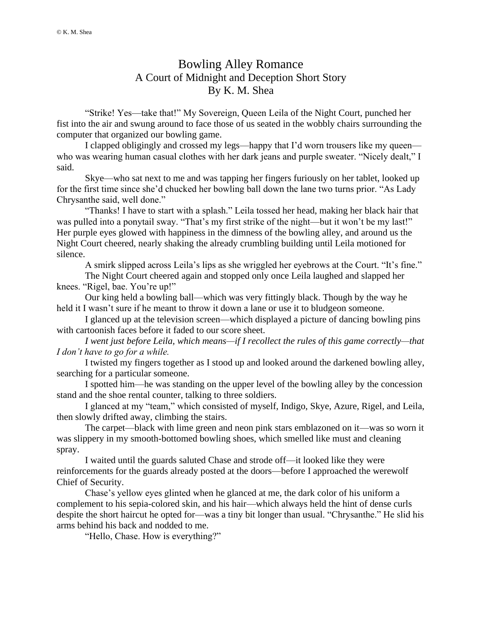## Bowling Alley Romance A Court of Midnight and Deception Short Story By K. M. Shea

"Strike! Yes—take that!" My Sovereign, Queen Leila of the Night Court, punched her fist into the air and swung around to face those of us seated in the wobbly chairs surrounding the computer that organized our bowling game.

I clapped obligingly and crossed my legs—happy that I'd worn trousers like my queen who was wearing human casual clothes with her dark jeans and purple sweater. "Nicely dealt," I said.

Skye—who sat next to me and was tapping her fingers furiously on her tablet, looked up for the first time since she'd chucked her bowling ball down the lane two turns prior. "As Lady Chrysanthe said, well done."

"Thanks! I have to start with a splash." Leila tossed her head, making her black hair that was pulled into a ponytail sway. "That's my first strike of the night—but it won't be my last!" Her purple eyes glowed with happiness in the dimness of the bowling alley, and around us the Night Court cheered, nearly shaking the already crumbling building until Leila motioned for silence.

A smirk slipped across Leila's lips as she wriggled her eyebrows at the Court. "It's fine."

The Night Court cheered again and stopped only once Leila laughed and slapped her knees. "Rigel, bae. You're up!"

Our king held a bowling ball—which was very fittingly black. Though by the way he held it I wasn't sure if he meant to throw it down a lane or use it to bludgeon someone.

I glanced up at the television screen—which displayed a picture of dancing bowling pins with cartoonish faces before it faded to our score sheet.

*I went just before Leila, which means—if I recollect the rules of this game correctly—that I don't have to go for a while.*

I twisted my fingers together as I stood up and looked around the darkened bowling alley, searching for a particular someone.

I spotted him—he was standing on the upper level of the bowling alley by the concession stand and the shoe rental counter, talking to three soldiers.

I glanced at my "team," which consisted of myself, Indigo, Skye, Azure, Rigel, and Leila, then slowly drifted away, climbing the stairs.

The carpet—black with lime green and neon pink stars emblazoned on it—was so worn it was slippery in my smooth-bottomed bowling shoes, which smelled like must and cleaning spray.

I waited until the guards saluted Chase and strode off—it looked like they were reinforcements for the guards already posted at the doors—before I approached the werewolf Chief of Security.

Chase's yellow eyes glinted when he glanced at me, the dark color of his uniform a complement to his sepia-colored skin, and his hair—which always held the hint of dense curls despite the short haircut he opted for—was a tiny bit longer than usual. "Chrysanthe." He slid his arms behind his back and nodded to me.

"Hello, Chase. How is everything?"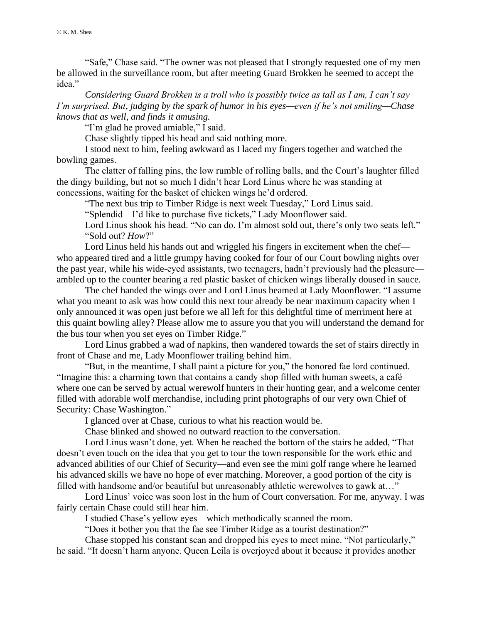"Safe," Chase said. "The owner was not pleased that I strongly requested one of my men be allowed in the surveillance room, but after meeting Guard Brokken he seemed to accept the idea."

*Considering Guard Brokken is a troll who is possibly twice as tall as I am, I can't say I'm surprised. But, judging by the spark of humor in his eyes—even if he's not smiling—Chase knows that as well, and finds it amusing.*

"I'm glad he proved amiable," I said.

Chase slightly tipped his head and said nothing more.

I stood next to him, feeling awkward as I laced my fingers together and watched the bowling games.

The clatter of falling pins, the low rumble of rolling balls, and the Court's laughter filled the dingy building, but not so much I didn't hear Lord Linus where he was standing at concessions, waiting for the basket of chicken wings he'd ordered.

"The next bus trip to Timber Ridge is next week Tuesday," Lord Linus said.

"Splendid—I'd like to purchase five tickets," Lady Moonflower said.

Lord Linus shook his head. "No can do. I'm almost sold out, there's only two seats left." "Sold out? *How*?"

Lord Linus held his hands out and wriggled his fingers in excitement when the chef who appeared tired and a little grumpy having cooked for four of our Court bowling nights over the past year, while his wide-eyed assistants, two teenagers, hadn't previously had the pleasure ambled up to the counter bearing a red plastic basket of chicken wings liberally doused in sauce.

The chef handed the wings over and Lord Linus beamed at Lady Moonflower. "I assume what you meant to ask was how could this next tour already be near maximum capacity when I only announced it was open just before we all left for this delightful time of merriment here at this quaint bowling alley? Please allow me to assure you that you will understand the demand for the bus tour when you set eyes on Timber Ridge."

Lord Linus grabbed a wad of napkins, then wandered towards the set of stairs directly in front of Chase and me, Lady Moonflower trailing behind him.

"But, in the meantime, I shall paint a picture for you," the honored fae lord continued. "Imagine this: a charming town that contains a candy shop filled with human sweets, a café where one can be served by actual werewolf hunters in their hunting gear, and a welcome center filled with adorable wolf merchandise, including print photographs of our very own Chief of Security: Chase Washington."

I glanced over at Chase, curious to what his reaction would be.

Chase blinked and showed no outward reaction to the conversation.

Lord Linus wasn't done, yet. When he reached the bottom of the stairs he added, "That doesn't even touch on the idea that you get to tour the town responsible for the work ethic and advanced abilities of our Chief of Security—and even see the mini golf range where he learned his advanced skills we have no hope of ever matching. Moreover, a good portion of the city is filled with handsome and/or beautiful but unreasonably athletic werewolves to gawk at…"

Lord Linus' voice was soon lost in the hum of Court conversation. For me, anyway. I was fairly certain Chase could still hear him.

I studied Chase's yellow eyes—which methodically scanned the room.

"Does it bother you that the fae see Timber Ridge as a tourist destination?"

Chase stopped his constant scan and dropped his eyes to meet mine. "Not particularly,"

he said. "It doesn't harm anyone. Queen Leila is overjoyed about it because it provides another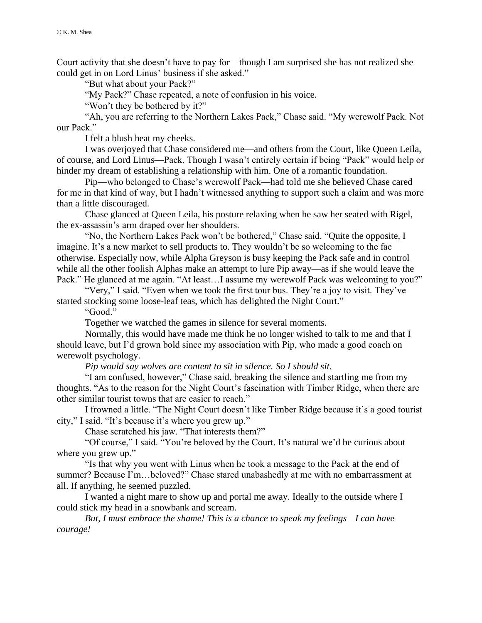Court activity that she doesn't have to pay for—though I am surprised she has not realized she could get in on Lord Linus' business if she asked."

"But what about your Pack?"

"My Pack?" Chase repeated, a note of confusion in his voice.

"Won't they be bothered by it?"

"Ah, you are referring to the Northern Lakes Pack," Chase said. "My werewolf Pack. Not our Pack."

I felt a blush heat my cheeks.

I was overjoyed that Chase considered me—and others from the Court, like Queen Leila, of course, and Lord Linus—Pack. Though I wasn't entirely certain if being "Pack" would help or hinder my dream of establishing a relationship with him. One of a romantic foundation.

Pip—who belonged to Chase's werewolf Pack—had told me she believed Chase cared for me in that kind of way, but I hadn't witnessed anything to support such a claim and was more than a little discouraged.

Chase glanced at Queen Leila, his posture relaxing when he saw her seated with Rigel, the ex-assassin's arm draped over her shoulders.

"No, the Northern Lakes Pack won't be bothered," Chase said. "Quite the opposite, I imagine. It's a new market to sell products to. They wouldn't be so welcoming to the fae otherwise. Especially now, while Alpha Greyson is busy keeping the Pack safe and in control while all the other foolish Alphas make an attempt to lure Pip away—as if she would leave the Pack." He glanced at me again. "At least...I assume my werewolf Pack was welcoming to you?"

"Very," I said. "Even when we took the first tour bus. They're a joy to visit. They've started stocking some loose-leaf teas, which has delighted the Night Court."

"Good."

Together we watched the games in silence for several moments.

Normally, this would have made me think he no longer wished to talk to me and that I should leave, but I'd grown bold since my association with Pip, who made a good coach on werewolf psychology.

*Pip would say wolves are content to sit in silence. So I should sit.*

"I am confused, however," Chase said, breaking the silence and startling me from my thoughts. "As to the reason for the Night Court's fascination with Timber Ridge, when there are other similar tourist towns that are easier to reach."

I frowned a little. "The Night Court doesn't like Timber Ridge because it's a good tourist city," I said. "It's because it's where you grew up."

Chase scratched his jaw. "That interests them?"

"Of course," I said. "You're beloved by the Court. It's natural we'd be curious about where you grew up."

"Is that why you went with Linus when he took a message to the Pack at the end of summer? Because I'm…beloved?" Chase stared unabashedly at me with no embarrassment at all. If anything, he seemed puzzled.

I wanted a night mare to show up and portal me away. Ideally to the outside where I could stick my head in a snowbank and scream.

*But, I must embrace the shame! This is a chance to speak my feelings—I can have courage!*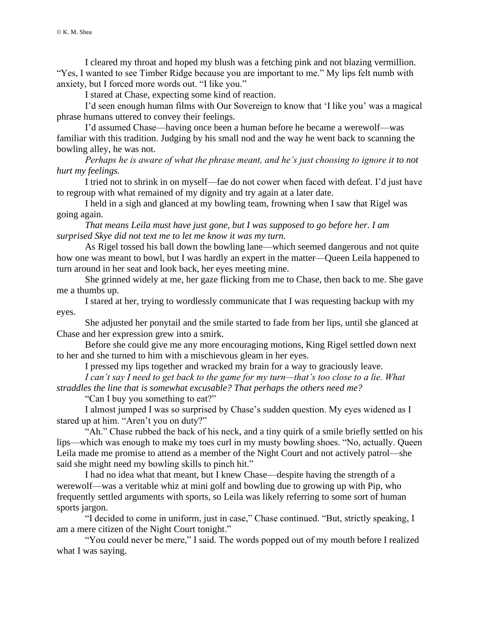I cleared my throat and hoped my blush was a fetching pink and not blazing vermillion. "Yes, I wanted to see Timber Ridge because you are important to me." My lips felt numb with anxiety, but I forced more words out. "I like you."

I stared at Chase, expecting some kind of reaction.

I'd seen enough human films with Our Sovereign to know that 'I like you' was a magical phrase humans uttered to convey their feelings.

I'd assumed Chase—having once been a human before he became a werewolf—was familiar with this tradition. Judging by his small nod and the way he went back to scanning the bowling alley, he was not.

*Perhaps he is aware of what the phrase meant, and he's just choosing to ignore it to not hurt my feelings.*

I tried not to shrink in on myself—fae do not cower when faced with defeat. I'd just have to regroup with what remained of my dignity and try again at a later date.

I held in a sigh and glanced at my bowling team, frowning when I saw that Rigel was going again.

*That means Leila must have just gone, but I was supposed to go before her. I am surprised Skye did not text me to let me know it was my turn.*

As Rigel tossed his ball down the bowling lane—which seemed dangerous and not quite how one was meant to bowl, but I was hardly an expert in the matter—Queen Leila happened to turn around in her seat and look back, her eyes meeting mine.

She grinned widely at me, her gaze flicking from me to Chase, then back to me. She gave me a thumbs up.

I stared at her, trying to wordlessly communicate that I was requesting backup with my eyes.

She adjusted her ponytail and the smile started to fade from her lips, until she glanced at Chase and her expression grew into a smirk.

Before she could give me any more encouraging motions, King Rigel settled down next to her and she turned to him with a mischievous gleam in her eyes.

I pressed my lips together and wracked my brain for a way to graciously leave.

*I can't say I need to get back to the game for my turn—that's too close to a lie. What straddles the line that is somewhat excusable? That perhaps the others need me?*

"Can I buy you something to eat?"

I almost jumped I was so surprised by Chase's sudden question. My eyes widened as I stared up at him. "Aren't you on duty?"

"Ah." Chase rubbed the back of his neck, and a tiny quirk of a smile briefly settled on his lips—which was enough to make my toes curl in my musty bowling shoes. "No, actually. Queen Leila made me promise to attend as a member of the Night Court and not actively patrol—she said she might need my bowling skills to pinch hit."

I had no idea what that meant, but I knew Chase—despite having the strength of a werewolf—was a veritable whiz at mini golf and bowling due to growing up with Pip, who frequently settled arguments with sports, so Leila was likely referring to some sort of human sports jargon.

"I decided to come in uniform, just in case," Chase continued. "But, strictly speaking, I am a mere citizen of the Night Court tonight."

"You could never be mere," I said. The words popped out of my mouth before I realized what I was saying.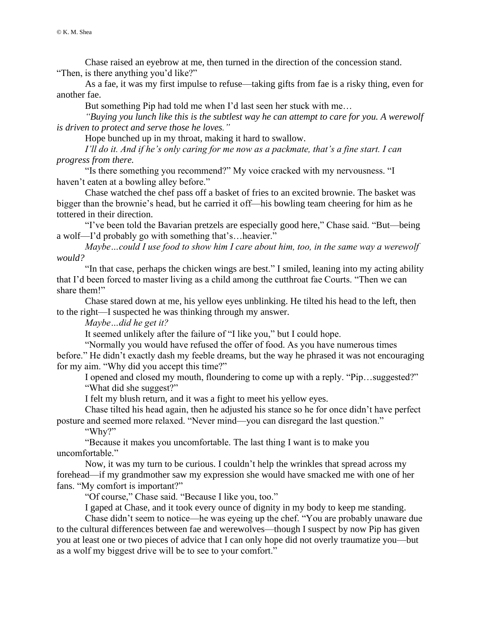Chase raised an eyebrow at me, then turned in the direction of the concession stand. "Then, is there anything you'd like?"

As a fae, it was my first impulse to refuse—taking gifts from fae is a risky thing, even for another fae.

But something Pip had told me when I'd last seen her stuck with me…

*"Buying you lunch like this is the subtlest way he can attempt to care for you. A werewolf is driven to protect and serve those he loves."*

Hope bunched up in my throat, making it hard to swallow.

*I'll do it. And if he's only caring for me now as a packmate, that's a fine start. I can progress from there.*

"Is there something you recommend?" My voice cracked with my nervousness. "I haven't eaten at a bowling alley before."

Chase watched the chef pass off a basket of fries to an excited brownie. The basket was bigger than the brownie's head, but he carried it off—his bowling team cheering for him as he tottered in their direction.

"I've been told the Bavarian pretzels are especially good here," Chase said. "But—being a wolf—I'd probably go with something that's…heavier."

*Maybe…could I use food to show him I care about him, too, in the same way a werewolf would?*

"In that case, perhaps the chicken wings are best." I smiled, leaning into my acting ability that I'd been forced to master living as a child among the cutthroat fae Courts. "Then we can share them!"

Chase stared down at me, his yellow eyes unblinking. He tilted his head to the left, then to the right—I suspected he was thinking through my answer.

*Maybe…did he get it?*

It seemed unlikely after the failure of "I like you," but I could hope.

"Normally you would have refused the offer of food. As you have numerous times before." He didn't exactly dash my feeble dreams, but the way he phrased it was not encouraging

for my aim. "Why did you accept this time?"

I opened and closed my mouth, floundering to come up with a reply. "Pip…suggested?" "What did she suggest?"

I felt my blush return, and it was a fight to meet his yellow eyes.

Chase tilted his head again, then he adjusted his stance so he for once didn't have perfect posture and seemed more relaxed. "Never mind—you can disregard the last question."

"Why?"

"Because it makes you uncomfortable. The last thing I want is to make you uncomfortable."

Now, it was my turn to be curious. I couldn't help the wrinkles that spread across my forehead—if my grandmother saw my expression she would have smacked me with one of her fans. "My comfort is important?"

"Of course," Chase said. "Because I like you, too."

I gaped at Chase, and it took every ounce of dignity in my body to keep me standing.

Chase didn't seem to notice—he was eyeing up the chef. "You are probably unaware due to the cultural differences between fae and werewolves—though I suspect by now Pip has given you at least one or two pieces of advice that I can only hope did not overly traumatize you—but as a wolf my biggest drive will be to see to your comfort."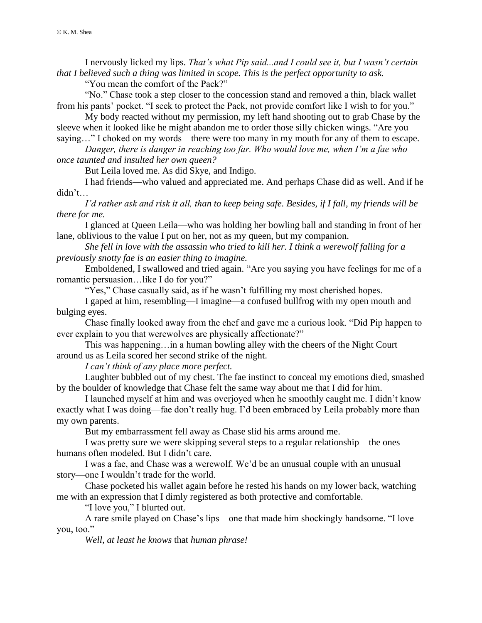I nervously licked my lips. *That's what Pip said...and I could see it, but I wasn't certain that I believed such a thing was limited in scope. This is the perfect opportunity to ask.*

"You mean the comfort of the Pack?"

"No." Chase took a step closer to the concession stand and removed a thin, black wallet from his pants' pocket. "I seek to protect the Pack, not provide comfort like I wish to for you."

My body reacted without my permission, my left hand shooting out to grab Chase by the sleeve when it looked like he might abandon me to order those silly chicken wings. "Are you saying…" I choked on my words—there were too many in my mouth for any of them to escape.

*Danger, there is danger in reaching too far. Who would love me, when I'm a fae who* 

*once taunted and insulted her own queen?*

But Leila loved me. As did Skye, and Indigo.

I had friends—who valued and appreciated me. And perhaps Chase did as well. And if he didn't…

*I'd rather ask and risk it all, than to keep being safe. Besides, if I fall, my friends will be there for me.*

I glanced at Queen Leila—who was holding her bowling ball and standing in front of her lane, oblivious to the value I put on her, not as my queen, but my companion.

*She fell in love with the assassin who tried to kill her. I think a werewolf falling for a previously snotty fae is an easier thing to imagine.*

Emboldened, I swallowed and tried again. "Are you saying you have feelings for me of a romantic persuasion…like I do for you?"

"Yes," Chase casually said, as if he wasn't fulfilling my most cherished hopes.

I gaped at him, resembling—I imagine—a confused bullfrog with my open mouth and bulging eyes.

Chase finally looked away from the chef and gave me a curious look. "Did Pip happen to ever explain to you that werewolves are physically affectionate?"

This was happening…in a human bowling alley with the cheers of the Night Court around us as Leila scored her second strike of the night.

*I can't think of any place more perfect.*

Laughter bubbled out of my chest. The fae instinct to conceal my emotions died, smashed by the boulder of knowledge that Chase felt the same way about me that I did for him.

I launched myself at him and was overjoyed when he smoothly caught me. I didn't know exactly what I was doing—fae don't really hug. I'd been embraced by Leila probably more than my own parents.

But my embarrassment fell away as Chase slid his arms around me.

I was pretty sure we were skipping several steps to a regular relationship—the ones humans often modeled. But I didn't care.

I was a fae, and Chase was a werewolf. We'd be an unusual couple with an unusual story—one I wouldn't trade for the world.

Chase pocketed his wallet again before he rested his hands on my lower back, watching me with an expression that I dimly registered as both protective and comfortable.

"I love you," I blurted out.

A rare smile played on Chase's lips—one that made him shockingly handsome. "I love you, too."

*Well, at least he knows* that *human phrase!*